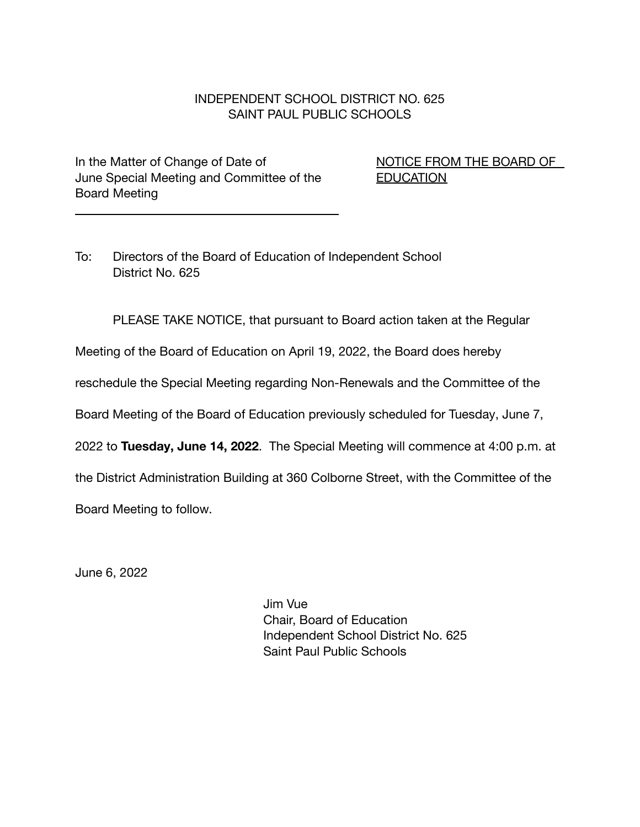## INDEPENDENT SCHOOL DISTRICT NO. 625 SAINT PAUL PUBLIC SCHOOLS

In the Matter of Change of Date of NET NOTICE FROM THE BOARD OF June Special Meeting and Committee of the **EDUCATION** Board Meeting

To: Directors of the Board of Education of Independent School District No. 625

PLEASE TAKE NOTICE, that pursuant to Board action taken at the Regular

Meeting of the Board of Education on April 19, 2022, the Board does hereby

reschedule the Special Meeting regarding Non-Renewals and the Committee of the

Board Meeting of the Board of Education previously scheduled for Tuesday, June 7,

2022 to **Tuesday, June 14, 2022**. The Special Meeting will commence at 4:00 p.m. at

the District Administration Building at 360 Colborne Street, with the Committee of the

Board Meeting to follow.

June 6, 2022

Jim Vue Chair, Board of Education Independent School District No. 625 Saint Paul Public Schools